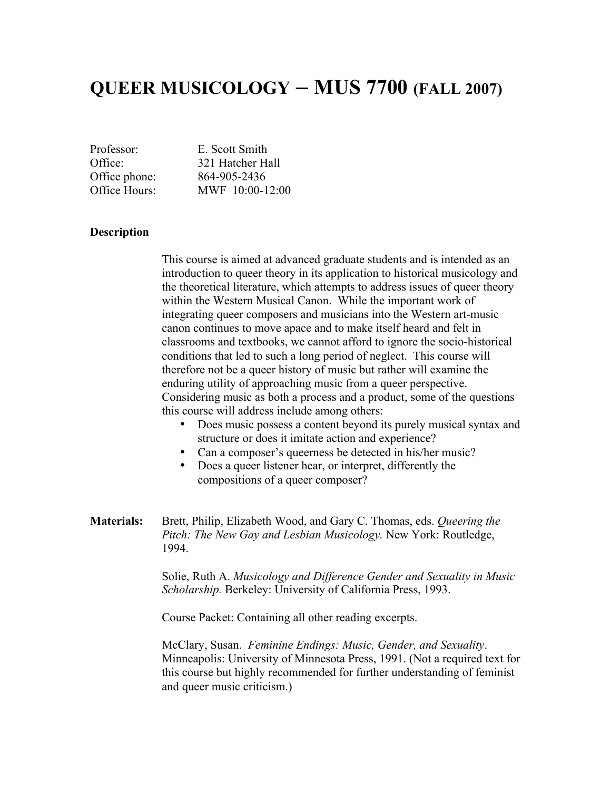# **QUEER MUSICOLOGY – MUS 7700 (FALL 2007)**

Professor: E. Scott Smith Office: 321 Hatcher Hall Office phone: 864-905-2436 Office Hours: MWF 10:00-12:00

#### **Description**

This course is aimed at advanced graduate students and is intended as an introduction to queer theory in its application to historical musicology and the theoretical literature, which attempts to address issues of queer theory within the Western Musical Canon. While the important work of integrating queer composers and musicians into the Western art-music canon continues to move apace and to make itself heard and felt in classrooms and textbooks, we cannot afford to ignore the socio-historical conditions that led to such a long period of neglect. This course will therefore not be a queer history of music but rather will examine the enduring utility of approaching music from a queer perspective. Considering music as both a process and a product, some of the questions this course will address include among others:

- Does music possess a content beyond its purely musical syntax and structure or does it imitate action and experience?
- Can a composer's queerness be detected in his/her music?
- Does a queer listener hear, or interpret, differently the compositions of a queer composer?

**Materials:** Brett, Philip, Elizabeth Wood, and Gary C. Thomas, eds. *Queering the Pitch: The New Gay and Lesbian Musicology.* New York: Routledge, 1994.

> Solie, Ruth A. *Musicology and Difference Gender and Sexuality in Music Scholarship.* Berkeley: University of California Press, 1993.

Course Packet: Containing all other reading excerpts.

McClary, Susan. *Feminine Endings: Music, Gender, and Sexuality*. Minneapolis: University of Minnesota Press, 1991. (Not a required text for this course but highly recommended for further understanding of feminist and queer music criticism.)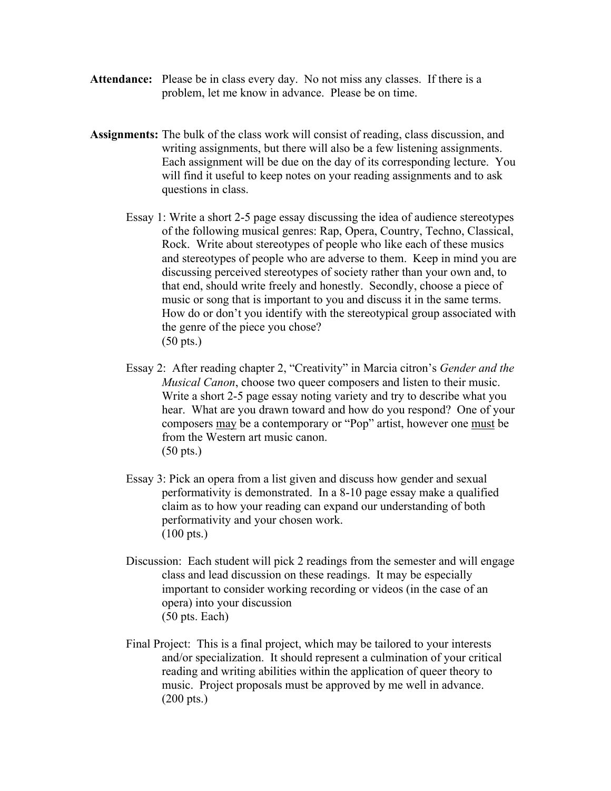- **Attendance:** Please be in class every day. No not miss any classes. If there is a problem, let me know in advance. Please be on time.
- **Assignments:** The bulk of the class work will consist of reading, class discussion, and writing assignments, but there will also be a few listening assignments. Each assignment will be due on the day of its corresponding lecture. You will find it useful to keep notes on your reading assignments and to ask questions in class.
	- Essay 1: Write a short 2-5 page essay discussing the idea of audience stereotypes of the following musical genres: Rap, Opera, Country, Techno, Classical, Rock. Write about stereotypes of people who like each of these musics and stereotypes of people who are adverse to them. Keep in mind you are discussing perceived stereotypes of society rather than your own and, to that end, should write freely and honestly. Secondly, choose a piece of music or song that is important to you and discuss it in the same terms. How do or don't you identify with the stereotypical group associated with the genre of the piece you chose? (50 pts.)
	- Essay 2: After reading chapter 2, "Creativity" in Marcia citron's *Gender and the Musical Canon*, choose two queer composers and listen to their music. Write a short 2-5 page essay noting variety and try to describe what you hear. What are you drawn toward and how do you respond? One of your composers may be a contemporary or "Pop" artist, however one must be from the Western art music canon. (50 pts.)
	- Essay 3: Pick an opera from a list given and discuss how gender and sexual performativity is demonstrated. In a 8-10 page essay make a qualified claim as to how your reading can expand our understanding of both performativity and your chosen work. (100 pts.)
	- Discussion: Each student will pick 2 readings from the semester and will engage class and lead discussion on these readings. It may be especially important to consider working recording or videos (in the case of an opera) into your discussion (50 pts. Each)
	- Final Project: This is a final project, which may be tailored to your interests and/or specialization. It should represent a culmination of your critical reading and writing abilities within the application of queer theory to music. Project proposals must be approved by me well in advance. (200 pts.)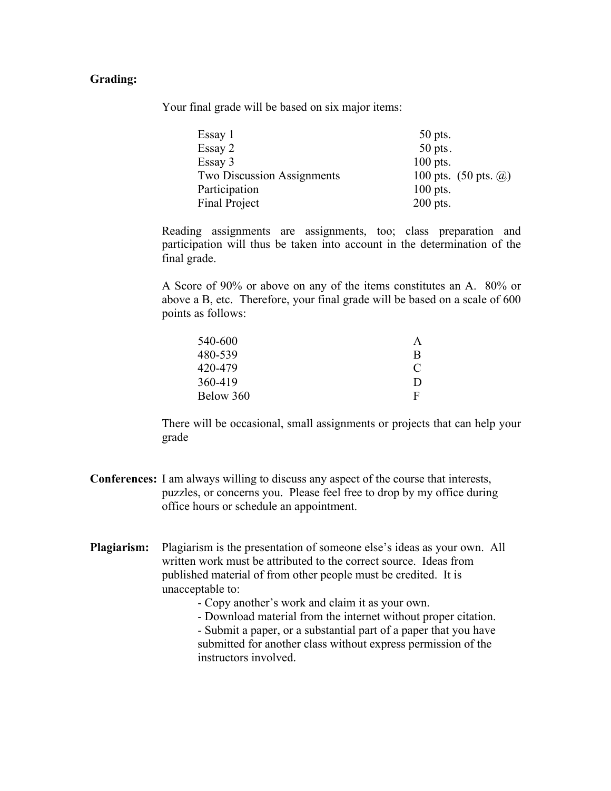#### **Grading:**

Your final grade will be based on six major items:

| Essay 1                           | $50$ pts.                                     |
|-----------------------------------|-----------------------------------------------|
| Essay 2                           | $50$ pts.                                     |
| Essay 3                           | $100$ pts.                                    |
| <b>Two Discussion Assignments</b> | 100 pts. $(50 \text{ pts. } \textcircled{a})$ |
| Participation                     | $100$ pts.                                    |
| Final Project                     | $200$ pts.                                    |

Reading assignments are assignments, too; class preparation and participation will thus be taken into account in the determination of the final grade.

A Score of 90% or above on any of the items constitutes an A. 80% or above a B, etc. Therefore, your final grade will be based on a scale of 600 points as follows:

| A            |
|--------------|
| <sub>R</sub> |
| C            |
| D            |
| F            |
|              |

There will be occasional, small assignments or projects that can help your grade

- **Conferences:** I am always willing to discuss any aspect of the course that interests, puzzles, or concerns you. Please feel free to drop by my office during office hours or schedule an appointment.
- **Plagiarism:** Plagiarism is the presentation of someone else's ideas as your own. All written work must be attributed to the correct source. Ideas from published material of from other people must be credited. It is unacceptable to:
	- Copy another's work and claim it as your own.
	- Download material from the internet without proper citation.

- Submit a paper, or a substantial part of a paper that you have submitted for another class without express permission of the instructors involved.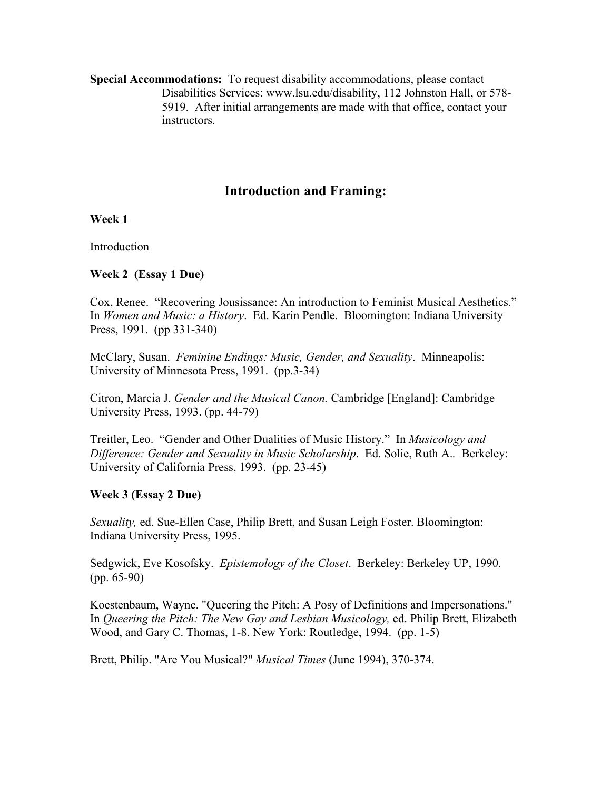**Special Accommodations:** To request disability accommodations, please contact Disabilities Services: www.lsu.edu/disability, 112 Johnston Hall, or 578- 5919. After initial arrangements are made with that office, contact your instructors.

# **Introduction and Framing:**

**Week 1**

Introduction

#### **Week 2 (Essay 1 Due)**

Cox, Renee. "Recovering Jousissance: An introduction to Feminist Musical Aesthetics." In *Women and Music: a History*. Ed. Karin Pendle. Bloomington: Indiana University Press, 1991. (pp 331-340)

McClary, Susan. *Feminine Endings: Music, Gender, and Sexuality*. Minneapolis: University of Minnesota Press, 1991. (pp.3-34)

Citron, Marcia J. *Gender and the Musical Canon.* Cambridge [England]: Cambridge University Press, 1993. (pp. 44-79)

Treitler, Leo. "Gender and Other Dualities of Music History." In *Musicology and Difference: Gender and Sexuality in Music Scholarship*. Ed. Solie, Ruth A.*.* Berkeley: University of California Press, 1993. (pp. 23-45)

#### **Week 3 (Essay 2 Due)**

*Sexuality,* ed. Sue-Ellen Case, Philip Brett, and Susan Leigh Foster. Bloomington: Indiana University Press, 1995.

Sedgwick, Eve Kosofsky. *Epistemology of the Closet*. Berkeley: Berkeley UP, 1990. (pp. 65-90)

Koestenbaum, Wayne. "Queering the Pitch: A Posy of Definitions and Impersonations." In *Queering the Pitch: The New Gay and Lesbian Musicology,* ed. Philip Brett, Elizabeth Wood, and Gary C. Thomas, 1-8. New York: Routledge, 1994. (pp. 1-5)

Brett, Philip. "Are You Musical?" *Musical Times* (June 1994), 370-374.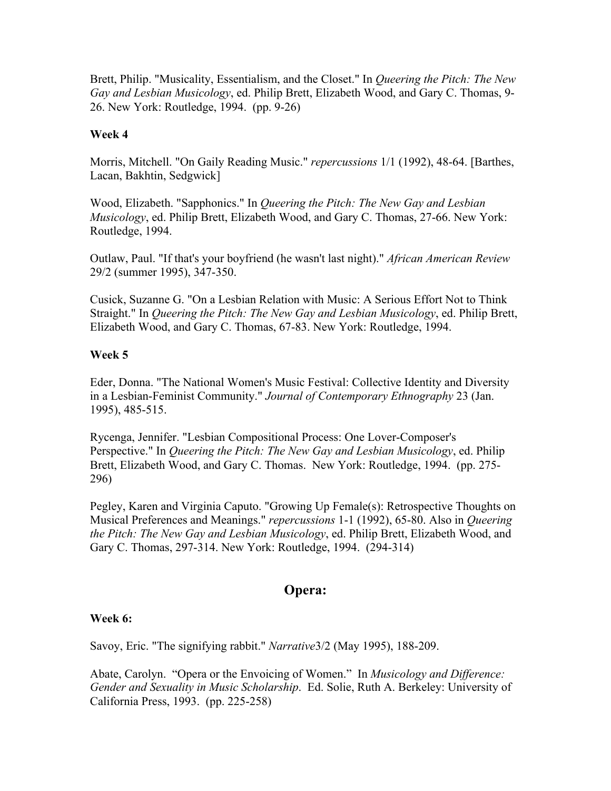Brett, Philip. "Musicality, Essentialism, and the Closet." In *Queering the Pitch: The New Gay and Lesbian Musicology*, ed. Philip Brett, Elizabeth Wood, and Gary C. Thomas, 9- 26. New York: Routledge, 1994. (pp. 9-26)

#### **Week 4**

Morris, Mitchell. "On Gaily Reading Music." *repercussions* 1/1 (1992), 48-64. [Barthes, Lacan, Bakhtin, Sedgwick]

Wood, Elizabeth. "Sapphonics." In *Queering the Pitch: The New Gay and Lesbian Musicology*, ed. Philip Brett, Elizabeth Wood, and Gary C. Thomas, 27-66. New York: Routledge, 1994.

Outlaw, Paul. "If that's your boyfriend (he wasn't last night)." *African American Review* 29/2 (summer 1995), 347-350.

Cusick, Suzanne G. "On a Lesbian Relation with Music: A Serious Effort Not to Think Straight." In *Queering the Pitch: The New Gay and Lesbian Musicology*, ed. Philip Brett, Elizabeth Wood, and Gary C. Thomas, 67-83. New York: Routledge, 1994.

## **Week 5**

Eder, Donna. "The National Women's Music Festival: Collective Identity and Diversity in a Lesbian-Feminist Community." *Journal of Contemporary Ethnography* 23 (Jan. 1995), 485-515.

Rycenga, Jennifer. "Lesbian Compositional Process: One Lover-Composer's Perspective." In *Queering the Pitch: The New Gay and Lesbian Musicology*, ed. Philip Brett, Elizabeth Wood, and Gary C. Thomas. New York: Routledge, 1994. (pp. 275- 296)

Pegley, Karen and Virginia Caputo. "Growing Up Female(s): Retrospective Thoughts on Musical Preferences and Meanings." *repercussions* 1-1 (1992), 65-80. Also in *Queering the Pitch: The New Gay and Lesbian Musicology*, ed. Philip Brett, Elizabeth Wood, and Gary C. Thomas, 297-314. New York: Routledge, 1994. (294-314)

# **Opera:**

#### **Week 6:**

Savoy, Eric. "The signifying rabbit." *Narrative*3/2 (May 1995), 188-209.

Abate, Carolyn. "Opera or the Envoicing of Women." In *Musicology and Difference: Gender and Sexuality in Music Scholarship*. Ed. Solie, Ruth A. Berkeley: University of California Press, 1993. (pp. 225-258)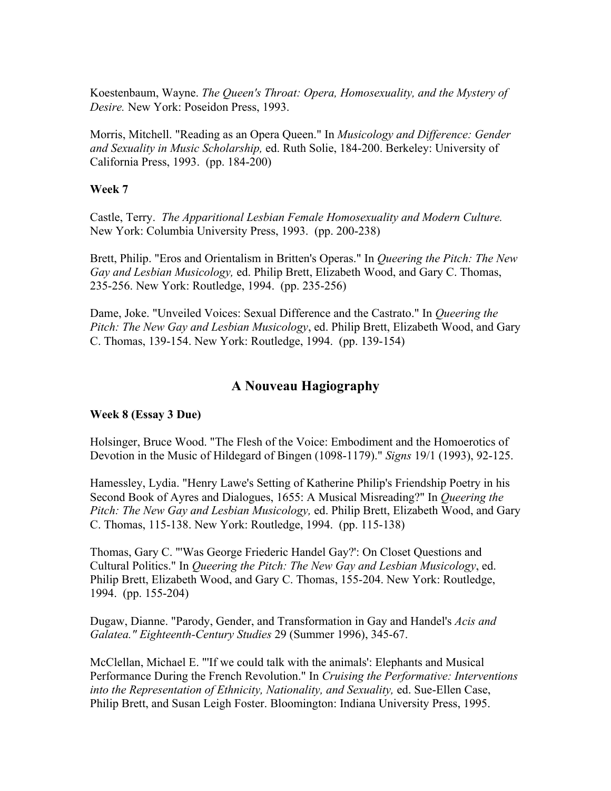Koestenbaum, Wayne. *The Queen's Throat: Opera, Homosexuality, and the Mystery of Desire.* New York: Poseidon Press, 1993.

Morris, Mitchell. "Reading as an Opera Queen." In *Musicology and Difference: Gender and Sexuality in Music Scholarship,* ed. Ruth Solie, 184-200. Berkeley: University of California Press, 1993. (pp. 184-200)

## **Week 7**

Castle, Terry. *The Apparitional Lesbian Female Homosexuality and Modern Culture.*  New York: Columbia University Press, 1993. (pp. 200-238)

Brett, Philip. "Eros and Orientalism in Britten's Operas." In *Queering the Pitch: The New Gay and Lesbian Musicology,* ed. Philip Brett, Elizabeth Wood, and Gary C. Thomas, 235-256. New York: Routledge, 1994. (pp. 235-256)

Dame, Joke. "Unveiled Voices: Sexual Difference and the Castrato." In *Queering the Pitch: The New Gay and Lesbian Musicology*, ed. Philip Brett, Elizabeth Wood, and Gary C. Thomas, 139-154. New York: Routledge, 1994. (pp. 139-154)

# **A Nouveau Hagiography**

#### **Week 8 (Essay 3 Due)**

Holsinger, Bruce Wood. "The Flesh of the Voice: Embodiment and the Homoerotics of Devotion in the Music of Hildegard of Bingen (1098-1179)." *Signs* 19/1 (1993), 92-125.

Hamessley, Lydia. "Henry Lawe's Setting of Katherine Philip's Friendship Poetry in his Second Book of Ayres and Dialogues, 1655: A Musical Misreading?" In *Queering the Pitch: The New Gay and Lesbian Musicology,* ed. Philip Brett, Elizabeth Wood, and Gary C. Thomas, 115-138. New York: Routledge, 1994. (pp. 115-138)

Thomas, Gary C. "'Was George Friederic Handel Gay?': On Closet Questions and Cultural Politics." In *Queering the Pitch: The New Gay and Lesbian Musicology*, ed. Philip Brett, Elizabeth Wood, and Gary C. Thomas, 155-204. New York: Routledge, 1994. (pp. 155-204)

Dugaw, Dianne. "Parody, Gender, and Transformation in Gay and Handel's *Acis and Galatea." Eighteenth-Century Studies* 29 (Summer 1996), 345-67.

McClellan, Michael E. "'If we could talk with the animals': Elephants and Musical Performance During the French Revolution." In *Cruising the Performative: Interventions into the Representation of Ethnicity, Nationality, and Sexuality,* ed. Sue-Ellen Case, Philip Brett, and Susan Leigh Foster. Bloomington: Indiana University Press, 1995.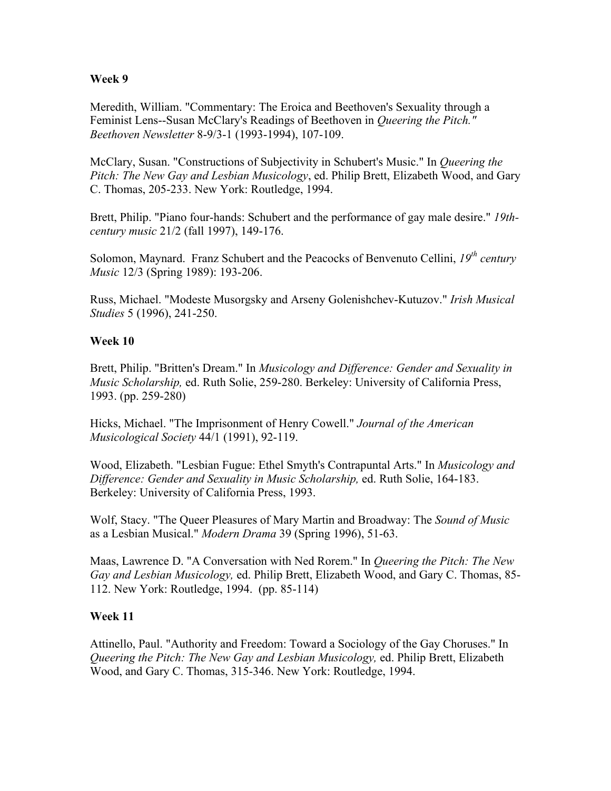#### **Week 9**

Meredith, William. "Commentary: The Eroica and Beethoven's Sexuality through a Feminist Lens--Susan McClary's Readings of Beethoven in *Queering the Pitch." Beethoven Newsletter* 8-9/3-1 (1993-1994), 107-109.

McClary, Susan. "Constructions of Subjectivity in Schubert's Music." In *Queering the Pitch: The New Gay and Lesbian Musicology*, ed. Philip Brett, Elizabeth Wood, and Gary C. Thomas, 205-233. New York: Routledge, 1994.

Brett, Philip. "Piano four-hands: Schubert and the performance of gay male desire." *19thcentury music* 21/2 (fall 1997), 149-176.

Solomon, Maynard. Franz Schubert and the Peacocks of Benvenuto Cellini, 19<sup>th</sup> century *Music* 12/3 (Spring 1989): 193-206.

Russ, Michael. "Modeste Musorgsky and Arseny Golenishchev-Kutuzov." *Irish Musical Studies* 5 (1996), 241-250.

## **Week 10**

Brett, Philip. "Britten's Dream." In *Musicology and Difference: Gender and Sexuality in Music Scholarship,* ed. Ruth Solie, 259-280. Berkeley: University of California Press, 1993. (pp. 259-280)

Hicks, Michael. "The Imprisonment of Henry Cowell." *Journal of the American Musicological Society* 44/1 (1991), 92-119.

Wood, Elizabeth. "Lesbian Fugue: Ethel Smyth's Contrapuntal Arts." In *Musicology and Difference: Gender and Sexuality in Music Scholarship,* ed. Ruth Solie, 164-183. Berkeley: University of California Press, 1993.

Wolf, Stacy. "The Queer Pleasures of Mary Martin and Broadway: The *Sound of Music* as a Lesbian Musical." *Modern Drama* 39 (Spring 1996), 51-63.

Maas, Lawrence D. "A Conversation with Ned Rorem." In *Queering the Pitch: The New Gay and Lesbian Musicology,* ed. Philip Brett, Elizabeth Wood, and Gary C. Thomas, 85- 112. New York: Routledge, 1994. (pp. 85-114)

# **Week 11**

Attinello, Paul. "Authority and Freedom: Toward a Sociology of the Gay Choruses." In *Queering the Pitch: The New Gay and Lesbian Musicology,* ed. Philip Brett, Elizabeth Wood, and Gary C. Thomas, 315-346. New York: Routledge, 1994.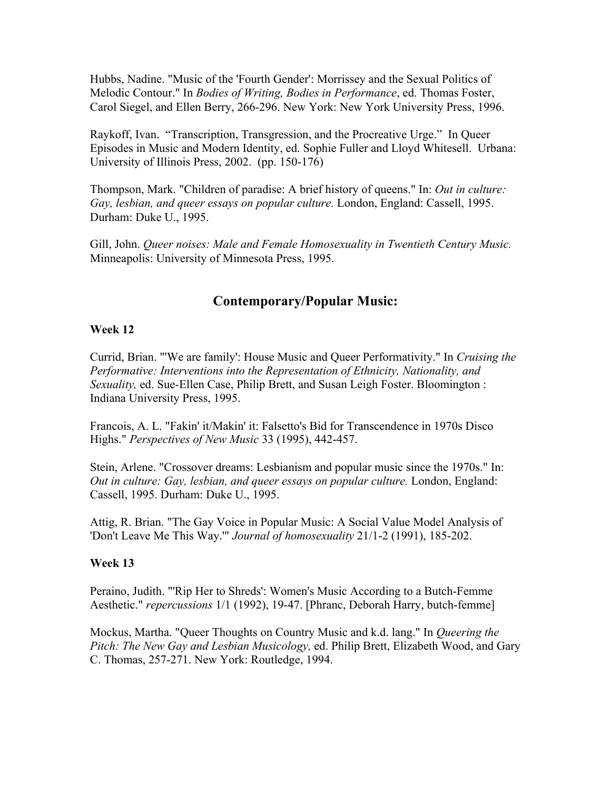Hubbs, Nadine. "Music of the 'Fourth Gender': Morrissey and the Sexual Politics of Melodic Contour." In *Bodies of Writing, Bodies in Performance*, ed. Thomas Foster, Carol Siegel, and Ellen Berry, 266-296. New York: New York University Press, 1996.

Raykoff, Ivan. "Transcription, Transgression, and the Procreative Urge." In Queer Episodes in Music and Modern Identity, ed. Sophie Fuller and Lloyd Whitesell. Urbana: University of Illinois Press, 2002. (pp. 150-176)

Thompson, Mark. "Children of paradise: A brief history of queens." In: *Out in culture: Gay, lesbian, and queer essays on popular culture.* London, England: Cassell, 1995. Durham: Duke U., 1995.

Gill, John. *Queer noises: Male and Female Homosexuality in Twentieth Century Music.* Minneapolis: University of Minnesota Press, 1995.

# **Contemporary/Popular Music:**

# **Week 12**

Currid, Brian. "'We are family': House Music and Queer Performativity." In *Cruising the Performative: Interventions into the Representation of Ethnicity, Nationality, and Sexuality,* ed. Sue-Ellen Case, Philip Brett, and Susan Leigh Foster. Bloomington : Indiana University Press, 1995.

Francois, A. L. "Fakin' it/Makin' it: Falsetto's Bid for Transcendence in 1970s Disco Highs." *Perspectives of New Music* 33 (1995), 442-457.

Stein, Arlene. "Crossover dreams: Lesbianism and popular music since the 1970s." In: *Out in culture: Gay, lesbian, and queer essays on popular culture.* London, England: Cassell, 1995. Durham: Duke U., 1995.

Attig, R. Brian. "The Gay Voice in Popular Music: A Social Value Model Analysis of 'Don't Leave Me This Way.'" *Journal of homosexuality* 21/1-2 (1991), 185-202.

# **Week 13**

Peraino, Judith. "'Rip Her to Shreds': Women's Music According to a Butch-Femme Aesthetic." *repercussions* 1/1 (1992), 19-47. [Phranc, Deborah Harry, butch-femme]

Mockus, Martha. "Queer Thoughts on Country Music and k.d. lang." In *Queering the Pitch: The New Gay and Lesbian Musicology,* ed. Philip Brett, Elizabeth Wood, and Gary C. Thomas, 257-271. New York: Routledge, 1994.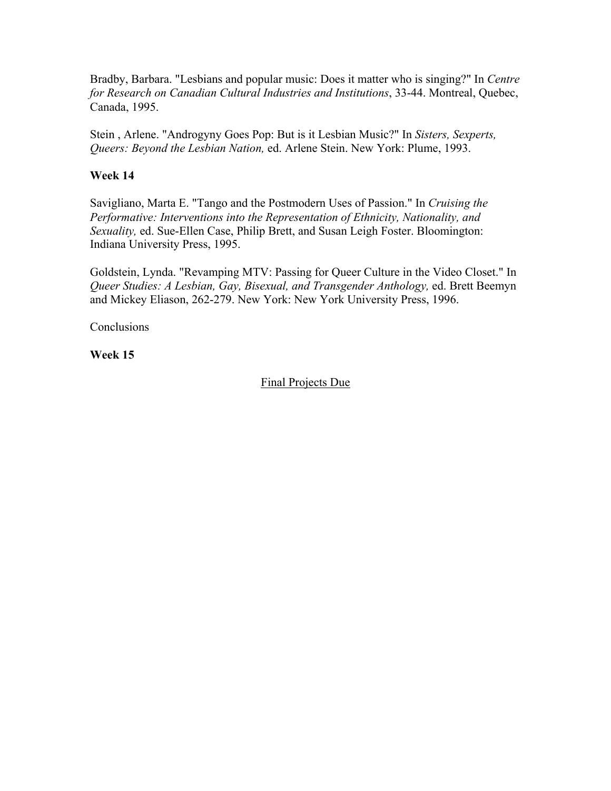Bradby, Barbara. "Lesbians and popular music: Does it matter who is singing?" In *Centre for Research on Canadian Cultural Industries and Institutions*, 33-44. Montreal, Quebec, Canada, 1995.

Stein , Arlene. "Androgyny Goes Pop: But is it Lesbian Music?" In *Sisters, Sexperts, Queers: Beyond the Lesbian Nation,* ed. Arlene Stein. New York: Plume, 1993.

## **Week 14**

Savigliano, Marta E. "Tango and the Postmodern Uses of Passion." In *Cruising the Performative: Interventions into the Representation of Ethnicity, Nationality, and Sexuality,* ed. Sue-Ellen Case, Philip Brett, and Susan Leigh Foster. Bloomington: Indiana University Press, 1995.

Goldstein, Lynda. "Revamping MTV: Passing for Queer Culture in the Video Closet." In *Queer Studies: A Lesbian, Gay, Bisexual, and Transgender Anthology,* ed. Brett Beemyn and Mickey Eliason, 262-279. New York: New York University Press, 1996.

**Conclusions** 

# **Week 15**

## Final Projects Due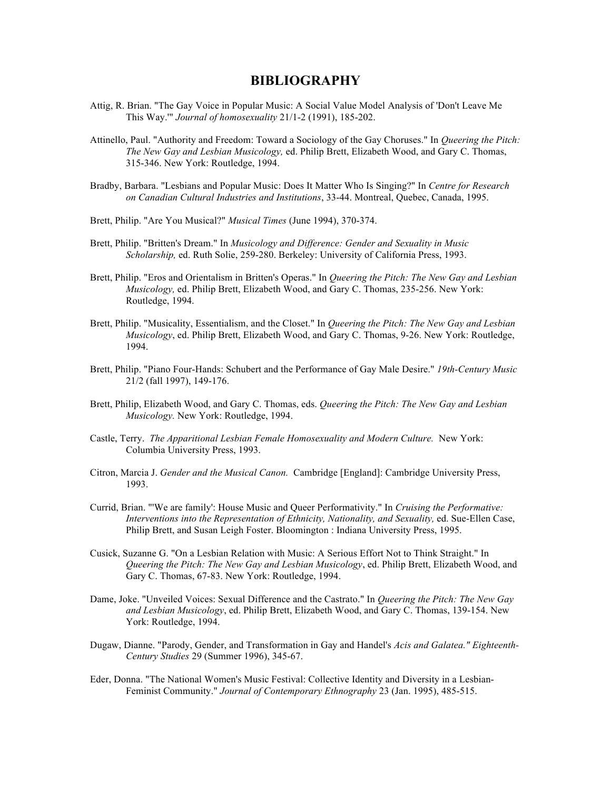#### **BIBLIOGRAPHY**

- Attig, R. Brian. "The Gay Voice in Popular Music: A Social Value Model Analysis of 'Don't Leave Me This Way.'" *Journal of homosexuality* 21/1-2 (1991), 185-202.
- Attinello, Paul. "Authority and Freedom: Toward a Sociology of the Gay Choruses." In *Queering the Pitch: The New Gay and Lesbian Musicology,* ed. Philip Brett, Elizabeth Wood, and Gary C. Thomas, 315-346. New York: Routledge, 1994.
- Bradby, Barbara. "Lesbians and Popular Music: Does It Matter Who Is Singing?" In *Centre for Research on Canadian Cultural Industries and Institutions*, 33-44. Montreal, Quebec, Canada, 1995.
- Brett, Philip. "Are You Musical?" *Musical Times* (June 1994), 370-374.
- Brett, Philip. "Britten's Dream." In *Musicology and Difference: Gender and Sexuality in Music Scholarship,* ed. Ruth Solie, 259-280. Berkeley: University of California Press, 1993.
- Brett, Philip. "Eros and Orientalism in Britten's Operas." In *Queering the Pitch: The New Gay and Lesbian Musicology,* ed. Philip Brett, Elizabeth Wood, and Gary C. Thomas, 235-256. New York: Routledge, 1994.
- Brett, Philip. "Musicality, Essentialism, and the Closet." In *Queering the Pitch: The New Gay and Lesbian Musicology*, ed. Philip Brett, Elizabeth Wood, and Gary C. Thomas, 9-26. New York: Routledge, 1994.
- Brett, Philip. "Piano Four-Hands: Schubert and the Performance of Gay Male Desire." *19th-Century Music* 21/2 (fall 1997), 149-176.
- Brett, Philip, Elizabeth Wood, and Gary C. Thomas, eds. *Queering the Pitch: The New Gay and Lesbian Musicology.* New York: Routledge, 1994.
- Castle, Terry. *The Apparitional Lesbian Female Homosexuality and Modern Culture.* New York: Columbia University Press, 1993.
- Citron, Marcia J. *Gender and the Musical Canon.* Cambridge [England]: Cambridge University Press, 1993.
- Currid, Brian. "'We are family': House Music and Queer Performativity." In *Cruising the Performative: Interventions into the Representation of Ethnicity, Nationality, and Sexuality,* ed. Sue-Ellen Case, Philip Brett, and Susan Leigh Foster. Bloomington : Indiana University Press, 1995.
- Cusick, Suzanne G. "On a Lesbian Relation with Music: A Serious Effort Not to Think Straight." In *Queering the Pitch: The New Gay and Lesbian Musicology*, ed. Philip Brett, Elizabeth Wood, and Gary C. Thomas, 67-83. New York: Routledge, 1994.
- Dame, Joke. "Unveiled Voices: Sexual Difference and the Castrato." In *Queering the Pitch: The New Gay and Lesbian Musicology*, ed. Philip Brett, Elizabeth Wood, and Gary C. Thomas, 139-154. New York: Routledge, 1994.
- Dugaw, Dianne. "Parody, Gender, and Transformation in Gay and Handel's *Acis and Galatea." Eighteenth-Century Studies* 29 (Summer 1996), 345-67.
- Eder, Donna. "The National Women's Music Festival: Collective Identity and Diversity in a Lesbian-Feminist Community." *Journal of Contemporary Ethnography* 23 (Jan. 1995), 485-515.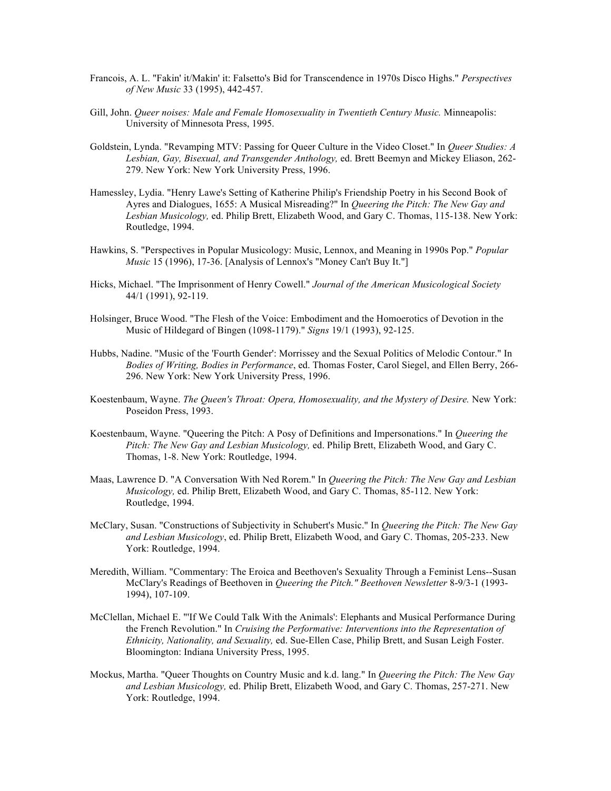- Francois, A. L. "Fakin' it/Makin' it: Falsetto's Bid for Transcendence in 1970s Disco Highs." *Perspectives of New Music* 33 (1995), 442-457.
- Gill, John. *Queer noises: Male and Female Homosexuality in Twentieth Century Music.* Minneapolis: University of Minnesota Press, 1995.
- Goldstein, Lynda. "Revamping MTV: Passing for Queer Culture in the Video Closet." In *Queer Studies: A Lesbian, Gay, Bisexual, and Transgender Anthology,* ed. Brett Beemyn and Mickey Eliason, 262- 279. New York: New York University Press, 1996.
- Hamessley, Lydia. "Henry Lawe's Setting of Katherine Philip's Friendship Poetry in his Second Book of Ayres and Dialogues, 1655: A Musical Misreading?" In *Queering the Pitch: The New Gay and Lesbian Musicology,* ed. Philip Brett, Elizabeth Wood, and Gary C. Thomas, 115-138. New York: Routledge, 1994.
- Hawkins, S. "Perspectives in Popular Musicology: Music, Lennox, and Meaning in 1990s Pop." *Popular Music* 15 (1996), 17-36. [Analysis of Lennox's "Money Can't Buy It."]
- Hicks, Michael. "The Imprisonment of Henry Cowell." *Journal of the American Musicological Society* 44/1 (1991), 92-119.
- Holsinger, Bruce Wood. "The Flesh of the Voice: Embodiment and the Homoerotics of Devotion in the Music of Hildegard of Bingen (1098-1179)." *Signs* 19/1 (1993), 92-125.
- Hubbs, Nadine. "Music of the 'Fourth Gender': Morrissey and the Sexual Politics of Melodic Contour." In *Bodies of Writing, Bodies in Performance*, ed. Thomas Foster, Carol Siegel, and Ellen Berry, 266- 296. New York: New York University Press, 1996.
- Koestenbaum, Wayne. *The Queen's Throat: Opera, Homosexuality, and the Mystery of Desire.* New York: Poseidon Press, 1993.
- Koestenbaum, Wayne. "Queering the Pitch: A Posy of Definitions and Impersonations." In *Queering the Pitch: The New Gay and Lesbian Musicology,* ed. Philip Brett, Elizabeth Wood, and Gary C. Thomas, 1-8. New York: Routledge, 1994.
- Maas, Lawrence D. "A Conversation With Ned Rorem." In *Queering the Pitch: The New Gay and Lesbian Musicology,* ed. Philip Brett, Elizabeth Wood, and Gary C. Thomas, 85-112. New York: Routledge, 1994.
- McClary, Susan. "Constructions of Subjectivity in Schubert's Music." In *Queering the Pitch: The New Gay and Lesbian Musicology*, ed. Philip Brett, Elizabeth Wood, and Gary C. Thomas, 205-233. New York: Routledge, 1994.
- Meredith, William. "Commentary: The Eroica and Beethoven's Sexuality Through a Feminist Lens--Susan McClary's Readings of Beethoven in *Queering the Pitch." Beethoven Newsletter* 8-9/3-1 (1993- 1994), 107-109.
- McClellan, Michael E. "'If We Could Talk With the Animals': Elephants and Musical Performance During the French Revolution." In *Cruising the Performative: Interventions into the Representation of Ethnicity, Nationality, and Sexuality,* ed. Sue-Ellen Case, Philip Brett, and Susan Leigh Foster. Bloomington: Indiana University Press, 1995.
- Mockus, Martha. "Queer Thoughts on Country Music and k.d. lang." In *Queering the Pitch: The New Gay and Lesbian Musicology,* ed. Philip Brett, Elizabeth Wood, and Gary C. Thomas, 257-271. New York: Routledge, 1994.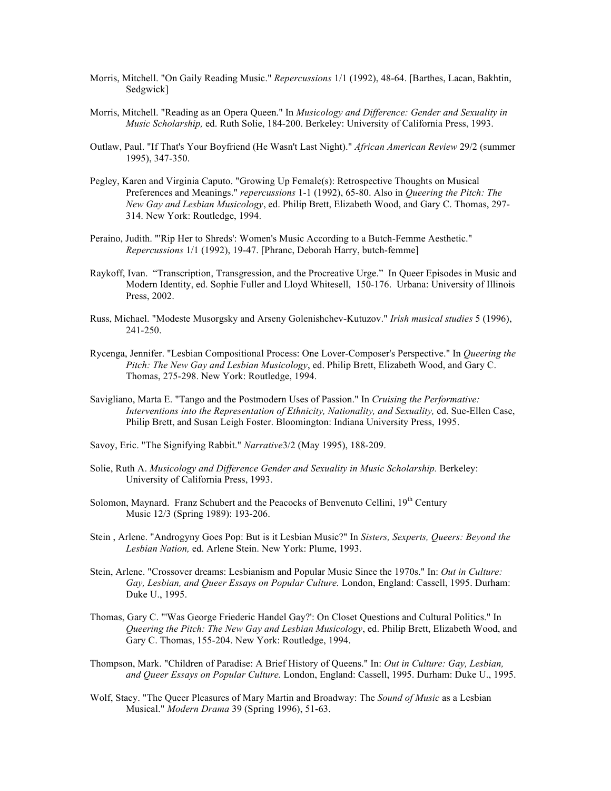- Morris, Mitchell. "On Gaily Reading Music." *Repercussions* 1/1 (1992), 48-64. [Barthes, Lacan, Bakhtin, Sedgwick]
- Morris, Mitchell. "Reading as an Opera Queen." In *Musicology and Difference: Gender and Sexuality in Music Scholarship,* ed. Ruth Solie, 184-200. Berkeley: University of California Press, 1993.
- Outlaw, Paul. "If That's Your Boyfriend (He Wasn't Last Night)." *African American Review* 29/2 (summer 1995), 347-350.
- Pegley, Karen and Virginia Caputo. "Growing Up Female(s): Retrospective Thoughts on Musical Preferences and Meanings." *repercussions* 1-1 (1992), 65-80. Also in *Queering the Pitch: The New Gay and Lesbian Musicology*, ed. Philip Brett, Elizabeth Wood, and Gary C. Thomas, 297- 314. New York: Routledge, 1994.
- Peraino, Judith. "'Rip Her to Shreds': Women's Music According to a Butch-Femme Aesthetic." *Repercussions* 1/1 (1992), 19-47. [Phranc, Deborah Harry, butch-femme]
- Raykoff, Ivan. "Transcription, Transgression, and the Procreative Urge." In Queer Episodes in Music and Modern Identity, ed. Sophie Fuller and Lloyd Whitesell, 150-176. Urbana: University of Illinois Press, 2002.
- Russ, Michael. "Modeste Musorgsky and Arseny Golenishchev-Kutuzov." *Irish musical studies* 5 (1996), 241-250.
- Rycenga, Jennifer. "Lesbian Compositional Process: One Lover-Composer's Perspective." In *Queering the Pitch: The New Gay and Lesbian Musicology*, ed. Philip Brett, Elizabeth Wood, and Gary C. Thomas, 275-298. New York: Routledge, 1994.
- Savigliano, Marta E. "Tango and the Postmodern Uses of Passion." In *Cruising the Performative: Interventions into the Representation of Ethnicity, Nationality, and Sexuality,* ed. Sue-Ellen Case, Philip Brett, and Susan Leigh Foster. Bloomington: Indiana University Press, 1995.
- Savoy, Eric. "The Signifying Rabbit." *Narrative*3/2 (May 1995), 188-209.
- Solie, Ruth A. *Musicology and Difference Gender and Sexuality in Music Scholarship.* Berkeley: University of California Press, 1993.
- Solomon, Maynard. Franz Schubert and the Peacocks of Benvenuto Cellini, 19<sup>th</sup> Century Music 12/3 (Spring 1989): 193-206.
- Stein , Arlene. "Androgyny Goes Pop: But is it Lesbian Music?" In *Sisters, Sexperts, Queers: Beyond the Lesbian Nation,* ed. Arlene Stein. New York: Plume, 1993.
- Stein, Arlene. "Crossover dreams: Lesbianism and Popular Music Since the 1970s." In: *Out in Culture: Gay, Lesbian, and Queer Essays on Popular Culture.* London, England: Cassell, 1995. Durham: Duke U., 1995.
- Thomas, Gary C. "'Was George Friederic Handel Gay?': On Closet Questions and Cultural Politics." In *Queering the Pitch: The New Gay and Lesbian Musicology*, ed. Philip Brett, Elizabeth Wood, and Gary C. Thomas, 155-204. New York: Routledge, 1994.
- Thompson, Mark. "Children of Paradise: A Brief History of Queens." In: *Out in Culture: Gay, Lesbian, and Queer Essays on Popular Culture.* London, England: Cassell, 1995. Durham: Duke U., 1995.
- Wolf, Stacy. "The Queer Pleasures of Mary Martin and Broadway: The *Sound of Music* as a Lesbian Musical." *Modern Drama* 39 (Spring 1996), 51-63.